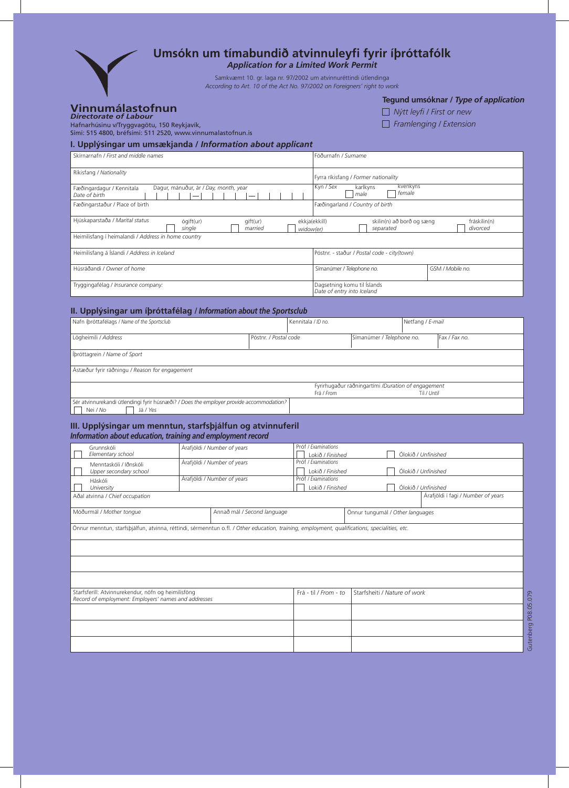

## **Umsókn um tímabundið atvinnuleyfi fyrir íþróttafólk**

*Application for a Limited Work Permit*

Samkvæmt 10. gr. laga nr. 97/2002 um atvinnuréttindi útlendinga *According to Art. 10 of the Act No. 97/2002 on Foreigners' right to work*

# **Vinnumálastofnun** *Directorate of Labour*

**Tegund umsóknar /** *Type of application*

| Nýtt leyfi / First or new      |  |
|--------------------------------|--|
| $\Box$ Framlenging / Extension |  |

Hafnarhúsinu v/Tryggvagötu, 150 Reykjavík, Sími: 515 4800, bréfsími: 511 2520, www.vinnumalastofnun.is

#### **I. Upplýsingar um umsækjanda /** *Information about applicant*

| Skirnarnafn / First and middle names                                                       | Föðurnafn / Surname                                                                 |  |  |  |
|--------------------------------------------------------------------------------------------|-------------------------------------------------------------------------------------|--|--|--|
| Ríkisfang / Nationality                                                                    | Fyrra ríkisfang / Former nationality                                                |  |  |  |
| Dagur, mánuður, ár / Day, month, year<br>Fæðingardagur / Kennitala<br>Date of birth        | Kyn / Sex<br>kvenkyns<br>karlkyns<br>female<br>male                                 |  |  |  |
| Fæðingarstaður / Place of birth                                                            | Fæðingarland / Country of birth                                                     |  |  |  |
| Hjúskaparstaða / Marital status<br>ógift(ur)<br>gift(ur)<br>married<br>single<br>widow(er) | skilin(n) að borð og sæng<br>ekkja(ekkill)<br>fráskilin(n)<br>divorced<br>separated |  |  |  |
| Heimilisfang í heimalandi / Address in home country                                        |                                                                                     |  |  |  |
| Heimilisfang á Íslandi / Address in Iceland                                                | Póstnr. - staður / Postal code - city(town)                                         |  |  |  |
| Húsráðandi / Owner of home                                                                 | Símanúmer / Telephone no.<br>GSM / Mobile no.                                       |  |  |  |
| Tryggingafélag / Insurance company:                                                        | Dagsetning komu til Íslands<br>Date of entry into Iceland                           |  |  |  |

### **II. Upplýsingar um íþróttafélag /** *Information about the Sportsclub*

| Nafn íþróttafélags / Name of the Sportsclub                                             |                       | Kennitala / ID no. |                                                    | Netfang / E-mail |               |
|-----------------------------------------------------------------------------------------|-----------------------|--------------------|----------------------------------------------------|------------------|---------------|
|                                                                                         |                       |                    |                                                    |                  |               |
| Lögheimili / Address                                                                    | Póstnr. / Postal code |                    | Símanúmer / Telephone no.                          |                  | Fax / Fax no. |
|                                                                                         |                       |                    |                                                    |                  |               |
| Íbróttagrein / Name of Sport                                                            |                       |                    |                                                    |                  |               |
|                                                                                         |                       |                    |                                                    |                  |               |
| Ástæður fyrir ráðningu / Reason for engagement                                          |                       |                    |                                                    |                  |               |
|                                                                                         |                       |                    |                                                    |                  |               |
|                                                                                         |                       |                    | Fyrirhugaður ráðningartími /Duration of engagement |                  |               |
|                                                                                         |                       | Frá / From         |                                                    | Til / Until      |               |
| Sér atvinnurekandi útlendingi fyrir húsnæði? / Does the employer provide accommodation? |                       |                    |                                                    |                  |               |
| Nei / No<br>Já / Yes                                                                    |                       |                    |                                                    |                  |               |

#### **III. Upplýsingar um menntun, starfsþjálfun og atvinnuferil**  *Information about education, training and employment record*

| Grunnskóli                                                                                                                                    | Árafjöldi / Number of years |                             |                                         | Próf / Examinations   |                                  |  |  |                                    |
|-----------------------------------------------------------------------------------------------------------------------------------------------|-----------------------------|-----------------------------|-----------------------------------------|-----------------------|----------------------------------|--|--|------------------------------------|
| Elementary school                                                                                                                             |                             |                             |                                         | Lokið / Finished      |                                  |  |  | Ólokið / Unfinished                |
| Menntaskóli / Iðnskóli                                                                                                                        |                             | Árafjöldi / Number of years | Próf / Examinations                     |                       |                                  |  |  |                                    |
| Upper secondary school                                                                                                                        |                             |                             | Lokið / Finished<br>Ólokið / Unfinished |                       |                                  |  |  |                                    |
| Háskóli                                                                                                                                       |                             | Árafjöldi / Number of years |                                         | Próf / Examinations   |                                  |  |  |                                    |
| University                                                                                                                                    |                             |                             | Lokið / Finished<br>Ólokið / Unfinished |                       |                                  |  |  |                                    |
| Aðal atvinna / Chief occupation                                                                                                               |                             |                             |                                         |                       |                                  |  |  | Árafjöldi í fagi / Number of years |
| Móðurmál / Mother tongue<br>Annað mál / Second language                                                                                       |                             |                             |                                         |                       | Önnur tungumál / Other languages |  |  |                                    |
| Önnur menntun, starfsbjálfun, atvinna, réttindi, sérmenntun o.fl. / Other education, training, employment, qualifications, specialities, etc. |                             |                             |                                         |                       |                                  |  |  |                                    |
|                                                                                                                                               |                             |                             |                                         |                       |                                  |  |  |                                    |
|                                                                                                                                               |                             |                             |                                         |                       |                                  |  |  |                                    |
|                                                                                                                                               |                             |                             |                                         |                       |                                  |  |  |                                    |
| Starfsferill: Atvinnurekendur, nöfn og heimilisföng<br>Record of employment: Employers' names and addresses                                   |                             |                             |                                         | Frá - til / From - to | Starfsheiti / Nature of work     |  |  |                                    |
|                                                                                                                                               |                             |                             |                                         |                       |                                  |  |  |                                    |
|                                                                                                                                               |                             |                             |                                         |                       |                                  |  |  |                                    |
|                                                                                                                                               |                             |                             |                                         |                       |                                  |  |  |                                    |
|                                                                                                                                               |                             |                             |                                         |                       |                                  |  |  |                                    |